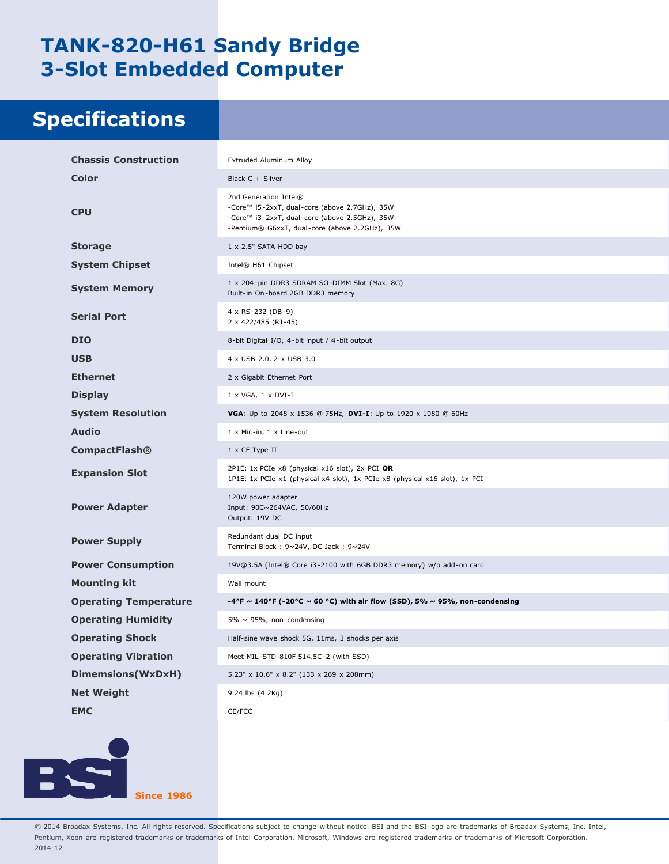## **TANK-820-H61 Sandy Bridge 3-Slot Embedded Computer**

## **Specifications**

| <b>Chassis Construction</b>  | Extruded Aluminum Alloy                                                                                                                                                   |
|------------------------------|---------------------------------------------------------------------------------------------------------------------------------------------------------------------------|
| Color                        | Black C + Sliver                                                                                                                                                          |
| <b>CPU</b>                   | 2nd Generation Intel®<br>-Core™ i5-2xxT, dual-core (above 2.7GHz), 35W<br>-Core™ i3-2xxT, dual-core (above 2.5GHz), 35W<br>-Pentium® G6xxT, dual-core (above 2.2GHz), 35W |
| <b>Storage</b>               | $1 \times 2.5$ " SATA HDD bay                                                                                                                                             |
| <b>System Chipset</b>        | Intel® H61 Chipset                                                                                                                                                        |
| <b>System Memory</b>         | 1 x 204-pin DDR3 SDRAM SO-DIMM Slot (Max. 8G)<br>Built-in On-board 2GB DDR3 memory                                                                                        |
| <b>Serial Port</b>           | 4 x RS-232 (DB-9)<br>2 x 422/485 (RJ-45)                                                                                                                                  |
| <b>DIO</b>                   | 8-bit Digital I/O, 4-bit input / 4-bit output                                                                                                                             |
| <b>USB</b>                   | 4 x USB 2.0, 2 x USB 3.0                                                                                                                                                  |
| <b>Ethernet</b>              | 2 x Gigabit Ethernet Port                                                                                                                                                 |
| <b>Display</b>               | $1 \times VGA$ , $1 \times DVI-I$                                                                                                                                         |
| <b>System Resolution</b>     | <b>VGA</b> : Up to 2048 x 1536 @ 75Hz, <b>DVI-I</b> : Up to 1920 x 1080 @ 60Hz                                                                                            |
| <b>Audio</b>                 | 1 x Mic-in, 1 x Line-out                                                                                                                                                  |
| <b>CompactFlash®</b>         | 1 x CF Type II                                                                                                                                                            |
| <b>Expansion Slot</b>        | 2P1E: 1x PCIe x8 (physical x16 slot), 2x PCI OR<br>1P1E: 1x PCIe x1 (physical x4 slot), 1x PCIe x8 (physical x16 slot), 1x PCI                                            |
| <b>Power Adapter</b>         | 120W power adapter<br>Input: 90C~264VAC, 50/60Hz<br>Output: 19V DC                                                                                                        |
| <b>Power Supply</b>          | Redundant dual DC input<br>Terminal Block: 9~24V, DC Jack: 9~24V                                                                                                          |
| <b>Power Consumption</b>     | 19V@3.5A (Intel® Core i3-2100 with 6GB DDR3 memory) w/o add-on card                                                                                                       |
| <b>Mounting kit</b>          | Wall mount                                                                                                                                                                |
| <b>Operating Temperature</b> | -4°F ~ 140°F (-20°C ~ 60 °C) with air flow (SSD), 5% ~ 95%, non-condensing                                                                                                |
| <b>Operating Humidity</b>    | 5% $\sim$ 95%, non-condensing                                                                                                                                             |
| <b>Operating Shock</b>       | Half-sine wave shock 5G, 11ms, 3 shocks per axis                                                                                                                          |
| <b>Operating Vibration</b>   | Meet MIL-STD-810F 514.5C-2 (with SSD)                                                                                                                                     |
| Dimemsions(WxDxH)            | 5.23" x 10.6" x 8.2" (133 x 269 x 208mm)                                                                                                                                  |
| <b>Net Weight</b>            | 9.24 lbs (4.2Kg)                                                                                                                                                          |
| <b>EMC</b>                   | CE/FCC                                                                                                                                                                    |



© 2014 Broadax Systems, Inc. All rights reserved. Specifications subject to change without notice. BSI and the BSI logo are trademarks of Broadax Systems, Inc. Intel, Pentium, Xeon are registered trademarks or trademarks of Intel Corporation. Microsoft, Windows are registered trademarks or trademarks of Microsoft Corporation. 2014-12